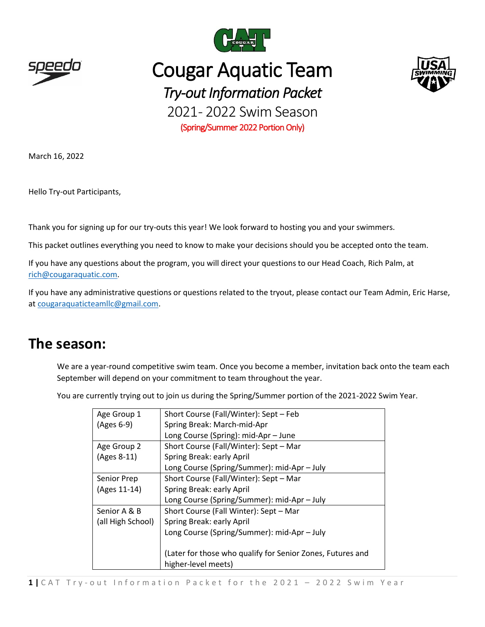

# Cougar Aquatic Team *Try-out Information Packet* 2021-2022 Swim Season

(Spring/Summer 2022 Portion Only)

March 16, 2022

Hello Try-out Participants,

Thank you for signing up for our try-outs this year! We look forward to hosting you and your swimmers.

This packet outlines everything you need to know to make your decisions should you be accepted onto the team.

If you have any questions about the program, you will direct your questions to our Head Coach, Rich Palm, at [rich@cougaraquatic.com.](mailto:rich@cougaraquatic.com)

If you have any administrative questions or questions related to the tryout, please contact our Team Admin, Eric Harse, at [cougaraquaticteamllc@gmail.com.](mailto:cougaraquaticteamllc@gmail.com)

### **The season:**

We are a year-round competitive swim team. Once you become a member, invitation back onto the team each September will depend on your commitment to team throughout the year.

You are currently trying out to join us during the Spring/Summer portion of the 2021-2022 Swim Year.

| Age Group 1       | Short Course (Fall/Winter): Sept - Feb                     |  |  |  |
|-------------------|------------------------------------------------------------|--|--|--|
| (Ages 6-9)        | Spring Break: March-mid-Apr                                |  |  |  |
|                   | Long Course (Spring): mid-Apr - June                       |  |  |  |
| Age Group 2       | Short Course (Fall/Winter): Sept - Mar                     |  |  |  |
| (Ages 8-11)       | Spring Break: early April                                  |  |  |  |
|                   | Long Course (Spring/Summer): mid-Apr - July                |  |  |  |
| Senior Prep       | Short Course (Fall/Winter): Sept - Mar                     |  |  |  |
| (Ages 11-14)      | Spring Break: early April                                  |  |  |  |
|                   | Long Course (Spring/Summer): mid-Apr - July                |  |  |  |
| Senior A & B      | Short Course (Fall Winter): Sept - Mar                     |  |  |  |
| (all High School) | Spring Break: early April                                  |  |  |  |
|                   | Long Course (Spring/Summer): mid-Apr - July                |  |  |  |
|                   |                                                            |  |  |  |
|                   | (Later for those who qualify for Senior Zones, Futures and |  |  |  |
|                   | higher-level meets)                                        |  |  |  |



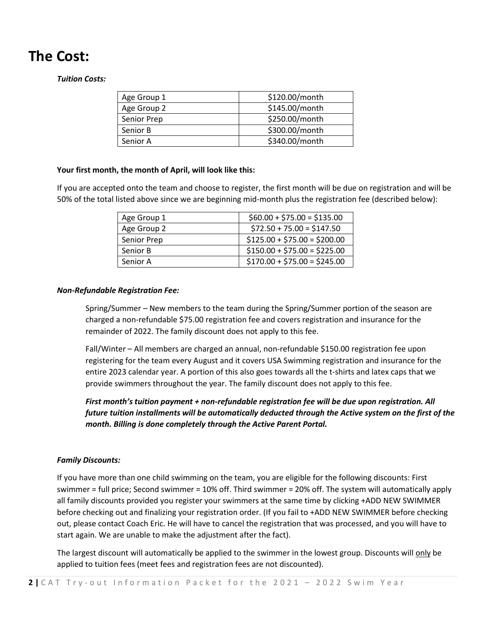# **The Cost:**

#### *Tuition Costs:*

| Age Group 1 | \$120.00/month |
|-------------|----------------|
| Age Group 2 | \$145.00/month |
| Senior Prep | \$250.00/month |
| Senior B    | \$300.00/month |
| Senior A    | \$340.00/month |

#### **Your first month, the month of April, will look like this:**

If you are accepted onto the team and choose to register, the first month will be due on registration and will be 50% of the total listed above since we are beginning mid-month plus the registration fee (described below):

| Age Group 1 | $$60.00 + $75.00 = $135.00$  |
|-------------|------------------------------|
| Age Group 2 | $$72.50 + 75.00 = $147.50$   |
| Senior Prep | $$125.00 + $75.00 = $200.00$ |
| Senior B    | $$150.00 + $75.00 = $225.00$ |
| Senior A    | $$170.00 + $75.00 = $245.00$ |

#### *Non-Refundable Registration Fee:*

Spring/Summer – New members to the team during the Spring/Summer portion of the season are charged a non-refundable \$75.00 registration fee and covers registration and insurance for the remainder of 2022. The family discount does not apply to this fee.

Fall/Winter – All members are charged an annual, non-refundable \$150.00 registration fee upon registering for the team every August and it covers USA Swimming registration and insurance for the entire 2023 calendar year. A portion of this also goes towards all the t-shirts and latex caps that we provide swimmers throughout the year. The family discount does not apply to this fee.

*First month's tuition payment + non-refundable registration fee will be due upon registration. All future tuition installments will be automatically deducted through the Active system on the first of the month. Billing is done completely through the Active Parent Portal.*

#### *Family Discounts:*

If you have more than one child swimming on the team, you are eligible for the following discounts: First swimmer = full price; Second swimmer = 10% off. Third swimmer = 20% off. The system will automatically apply all family discounts provided you register your swimmers at the same time by clicking +ADD NEW SWIMMER before checking out and finalizing your registration order. (If you fail to +ADD NEW SWIMMER before checking out, please contact Coach Eric. He will have to cancel the registration that was processed, and you will have to start again. We are unable to make the adjustment after the fact).

The largest discount will automatically be applied to the swimmer in the lowest group. Discounts will only be applied to tuition fees (meet fees and registration fees are not discounted).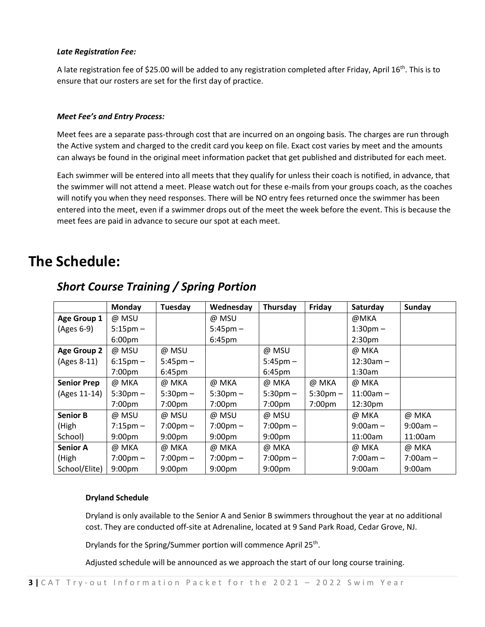#### *Late Registration Fee:*

A late registration fee of \$25.00 will be added to any registration completed after Friday, April 16<sup>th</sup>. This is to ensure that our rosters are set for the first day of practice.

#### *Meet Fee's and Entry Process:*

Meet fees are a separate pass-through cost that are incurred on an ongoing basis. The charges are run through the Active system and charged to the credit card you keep on file. Exact cost varies by meet and the amounts can always be found in the original meet information packet that get published and distributed for each meet.

Each swimmer will be entered into all meets that they qualify for unless their coach is notified, in advance, that the swimmer will not attend a meet. Please watch out for these e-mails from your groups coach, as the coaches will notify you when they need responses. There will be NO entry fees returned once the swimmer has been entered into the meet, even if a swimmer drops out of the meet the week before the event. This is because the meet fees are paid in advance to secure our spot at each meet.

### **The Schedule:**

|                    | <b>Monday</b>      | Tuesday            | Wednesday          | Thursday           | Friday             | Saturday           | Sunday     |
|--------------------|--------------------|--------------------|--------------------|--------------------|--------------------|--------------------|------------|
| Age Group 1        | @ MSU              |                    | @ MSU              |                    |                    | @MKA               |            |
| (Ages 6-9)         | $5:15 \text{pm} -$ |                    | $5:45$ pm $-$      |                    |                    | $1:30$ pm $-$      |            |
|                    | 6:00 <sub>pm</sub> |                    | 6:45pm             |                    |                    | 2:30 <sub>pm</sub> |            |
| <b>Age Group 2</b> | @ MSU              | @ MSU              |                    | @ MSU              |                    | @ MKA              |            |
| (Ages 8-11)        | $6:15 \text{pm} -$ | $5:45$ pm $-$      |                    | $5:45$ pm $-$      |                    | $12:30am -$        |            |
|                    | 7:00pm             | $6:45 \text{pm}$   |                    | 6:45pm             |                    | $1:30$ am          |            |
| <b>Senior Prep</b> | @ MKA              | @ MKA              | @ MKA              | @ MKA              | @ MKA              | @ MKA              |            |
| (Ages 11-14)       | $5:30$ pm $-$      | $5:30$ pm $-$      | $5:30$ pm $-$      | $5:30$ pm $-$      | $5:30$ pm $-$      | $11:00am -$        |            |
|                    | 7:00 <sub>pm</sub> | 7:00 <sub>pm</sub> | 7:00 <sub>pm</sub> | 7:00 <sub>pm</sub> | 7:00 <sub>pm</sub> | 12:30pm            |            |
| <b>Senior B</b>    | @ MSU              | @ MSU              | @ MSU              | @ MSU              |                    | @ MKA              | @ MKA      |
| (High              | $7:15 \text{pm} -$ | $7:00 \text{pm} -$ | $7:00 \text{pm} -$ | $7:00 \text{pm} -$ |                    | $9:00am -$         | $9:00am -$ |
| School)            | 9:00 <sub>pm</sub> | 9:00 <sub>pm</sub> | 9:00 <sub>pm</sub> | 9:00 <sub>pm</sub> |                    | 11:00am            | 11:00am    |
| <b>Senior A</b>    | @ MKA              | @ MKA              | @ MKA              | @ MKA              |                    | @ MKA              | @ MKA      |
| (High              | $7:00 \text{pm} -$ | $7:00 \text{pm} -$ | $7:00 \text{pm} -$ | $7:00 \text{pm} -$ |                    | $7:00am -$         | $7:00am -$ |
| School/Elite)      | 9:00 <sub>pm</sub> | 9:00 <sub>pm</sub> | 9:00 <sub>pm</sub> | 9:00 <sub>pm</sub> |                    | 9:00am             | 9:00am     |

### *Short Course Training / Spring Portion*

#### **Dryland Schedule**

Dryland is only available to the Senior A and Senior B swimmers throughout the year at no additional cost. They are conducted off-site at Adrenaline, located at 9 Sand Park Road, Cedar Grove, NJ.

Drylands for the Spring/Summer portion will commence April 25<sup>th</sup>.

Adjusted schedule will be announced as we approach the start of our long course training.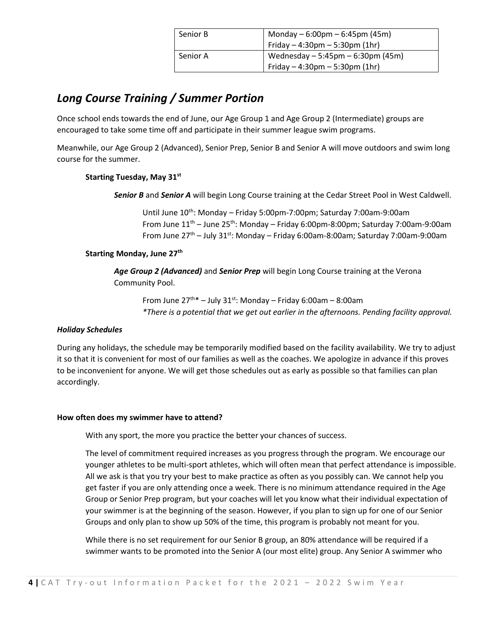| Senior B | Monday $-6:00 \text{pm} - 6:45 \text{pm}$ (45m)<br>Friday $-4:30 \text{pm} - 5:30 \text{pm}$ (1hr) |
|----------|----------------------------------------------------------------------------------------------------|
| Senior A | Wednesday $-5:45$ pm $-6:30$ pm (45m)<br>Friday $-4:30 \text{pm} - 5:30 \text{pm}$ (1hr)           |

### *Long Course Training / Summer Portion*

Once school ends towards the end of June, our Age Group 1 and Age Group 2 (Intermediate) groups are encouraged to take some time off and participate in their summer league swim programs.

Meanwhile, our Age Group 2 (Advanced), Senior Prep, Senior B and Senior A will move outdoors and swim long course for the summer.

#### **Starting Tuesday, May 31st**

*Senior B* and *Senior A* will begin Long Course training at the Cedar Street Pool in West Caldwell.

Until June 10th: Monday – Friday 5:00pm-7:00pm; Saturday 7:00am-9:00am From June  $11<sup>th</sup>$  – June 25<sup>th</sup>: Monday – Friday 6:00pm-8:00pm; Saturday 7:00am-9:00am From June  $27<sup>th</sup>$  – July 31<sup>st</sup>: Monday – Friday 6:00am-8:00am; Saturday 7:00am-9:00am

#### **Starting Monday, June 27th**

*Age Group 2 (Advanced)* and *Senior Prep* will begin Long Course training at the Verona Community Pool.

From June  $27^{th*}$  – July  $31^{st}$ : Monday – Friday 6:00am – 8:00am *\*There is a potential that we get out earlier in the afternoons. Pending facility approval.*

#### *Holiday Schedules*

During any holidays, the schedule may be temporarily modified based on the facility availability. We try to adjust it so that it is convenient for most of our families as well as the coaches. We apologize in advance if this proves to be inconvenient for anyone. We will get those schedules out as early as possible so that families can plan accordingly.

#### **How often does my swimmer have to attend?**

With any sport, the more you practice the better your chances of success.

The level of commitment required increases as you progress through the program. We encourage our younger athletes to be multi-sport athletes, which will often mean that perfect attendance is impossible. All we ask is that you try your best to make practice as often as you possibly can. We cannot help you get faster if you are only attending once a week. There is no minimum attendance required in the Age Group or Senior Prep program, but your coaches will let you know what their individual expectation of your swimmer is at the beginning of the season. However, if you plan to sign up for one of our Senior Groups and only plan to show up 50% of the time, this program is probably not meant for you.

While there is no set requirement for our Senior B group, an 80% attendance will be required if a swimmer wants to be promoted into the Senior A (our most elite) group. Any Senior A swimmer who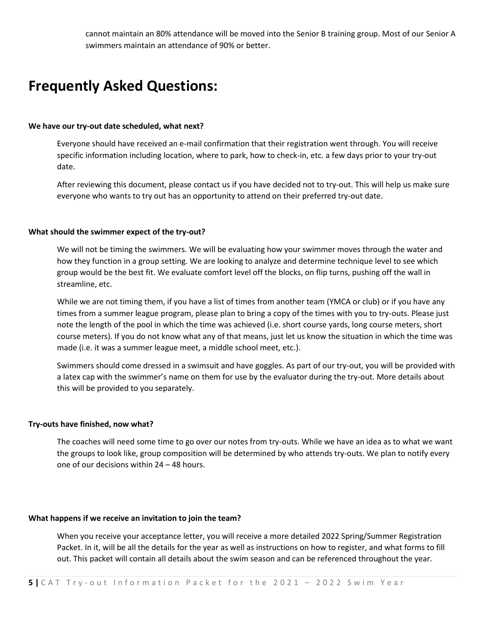cannot maintain an 80% attendance will be moved into the Senior B training group. Most of our Senior A swimmers maintain an attendance of 90% or better.

## **Frequently Asked Questions:**

#### **We have our try-out date scheduled, what next?**

Everyone should have received an e-mail confirmation that their registration went through. You will receive specific information including location, where to park, how to check-in, etc. a few days prior to your try-out date.

After reviewing this document, please contact us if you have decided not to try-out. This will help us make sure everyone who wants to try out has an opportunity to attend on their preferred try-out date.

#### **What should the swimmer expect of the try-out?**

We will not be timing the swimmers. We will be evaluating how your swimmer moves through the water and how they function in a group setting. We are looking to analyze and determine technique level to see which group would be the best fit. We evaluate comfort level off the blocks, on flip turns, pushing off the wall in streamline, etc.

While we are not timing them, if you have a list of times from another team (YMCA or club) or if you have any times from a summer league program, please plan to bring a copy of the times with you to try-outs. Please just note the length of the pool in which the time was achieved (i.e. short course yards, long course meters, short course meters). If you do not know what any of that means, just let us know the situation in which the time was made (i.e. it was a summer league meet, a middle school meet, etc.).

Swimmers should come dressed in a swimsuit and have goggles. As part of our try-out, you will be provided with a latex cap with the swimmer's name on them for use by the evaluator during the try-out. More details about this will be provided to you separately.

#### **Try-outs have finished, now what?**

The coaches will need some time to go over our notes from try-outs. While we have an idea as to what we want the groups to look like, group composition will be determined by who attends try-outs. We plan to notify every one of our decisions within 24 – 48 hours.

#### **What happens if we receive an invitation to join the team?**

When you receive your acceptance letter, you will receive a more detailed 2022 Spring/Summer Registration Packet. In it, will be all the details for the year as well as instructions on how to register, and what forms to fill out. This packet will contain all details about the swim season and can be referenced throughout the year.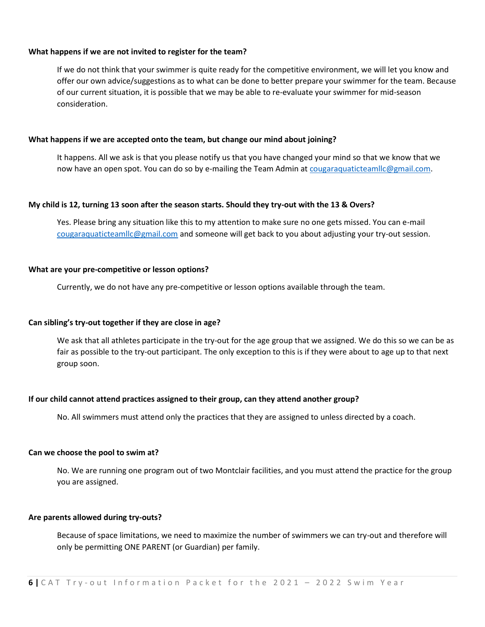#### **What happens if we are not invited to register for the team?**

If we do not think that your swimmer is quite ready for the competitive environment, we will let you know and offer our own advice/suggestions as to what can be done to better prepare your swimmer for the team. Because of our current situation, it is possible that we may be able to re-evaluate your swimmer for mid-season consideration.

#### **What happens if we are accepted onto the team, but change our mind about joining?**

It happens. All we ask is that you please notify us that you have changed your mind so that we know that we now have an open spot. You can do so by e-mailing the Team Admin at [cougaraquaticteamllc@gmail.com.](mailto:cougaraquaticteamllc@gmail.com)

#### **My child is 12, turning 13 soon after the season starts. Should they try-out with the 13 & Overs?**

Yes. Please bring any situation like this to my attention to make sure no one gets missed. You can e-mail [cougaraquaticteamllc@gmail.com](mailto:cougaraquaticteamllc@gmail.com) and someone will get back to you about adjusting your try-out session.

#### **What are your pre-competitive or lesson options?**

Currently, we do not have any pre-competitive or lesson options available through the team.

#### **Can sibling's try-out together if they are close in age?**

We ask that all athletes participate in the try-out for the age group that we assigned. We do this so we can be as fair as possible to the try-out participant. The only exception to this is if they were about to age up to that next group soon.

#### **If our child cannot attend practices assigned to their group, can they attend another group?**

No. All swimmers must attend only the practices that they are assigned to unless directed by a coach.

#### **Can we choose the pool to swim at?**

No. We are running one program out of two Montclair facilities, and you must attend the practice for the group you are assigned.

#### **Are parents allowed during try-outs?**

Because of space limitations, we need to maximize the number of swimmers we can try-out and therefore will only be permitting ONE PARENT (or Guardian) per family.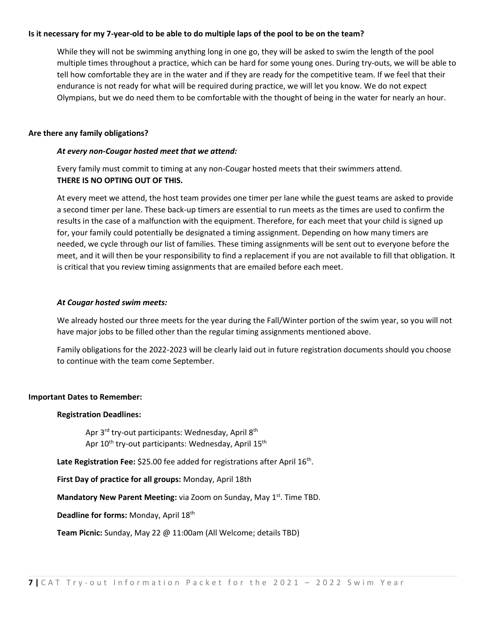#### **Is it necessary for my 7-year-old to be able to do multiple laps of the pool to be on the team?**

While they will not be swimming anything long in one go, they will be asked to swim the length of the pool multiple times throughout a practice, which can be hard for some young ones. During try-outs, we will be able to tell how comfortable they are in the water and if they are ready for the competitive team. If we feel that their endurance is not ready for what will be required during practice, we will let you know. We do not expect Olympians, but we do need them to be comfortable with the thought of being in the water for nearly an hour.

#### **Are there any family obligations?**

#### *At every non-Cougar hosted meet that we attend:*

Every family must commit to timing at any non-Cougar hosted meets that their swimmers attend. **THERE IS NO OPTING OUT OF THIS.**

At every meet we attend, the host team provides one timer per lane while the guest teams are asked to provide a second timer per lane. These back-up timers are essential to run meets as the times are used to confirm the results in the case of a malfunction with the equipment. Therefore, for each meet that your child is signed up for, your family could potentially be designated a timing assignment. Depending on how many timers are needed, we cycle through our list of families. These timing assignments will be sent out to everyone before the meet, and it will then be your responsibility to find a replacement if you are not available to fill that obligation. It is critical that you review timing assignments that are emailed before each meet.

#### *At Cougar hosted swim meets:*

We already hosted our three meets for the year during the Fall/Winter portion of the swim year, so you will not have major jobs to be filled other than the regular timing assignments mentioned above.

Family obligations for the 2022-2023 will be clearly laid out in future registration documents should you choose to continue with the team come September.

#### **Important Dates to Remember:**

#### **Registration Deadlines:**

Apr 3<sup>rd</sup> try-out participants: Wednesday, April 8<sup>th</sup> Apr 10<sup>th</sup> try-out participants: Wednesday, April 15<sup>th</sup>

Late Registration Fee: \$25.00 fee added for registrations after April 16<sup>th</sup>.

**First Day of practice for all groups:** Monday, April 18th

**Mandatory New Parent Meeting:** via Zoom on Sunday, May 1<sup>st</sup>. Time TBD.

**Deadline for forms: Monday, April 18th** 

**Team Picnic:** Sunday, May 22 @ 11:00am (All Welcome; details TBD)